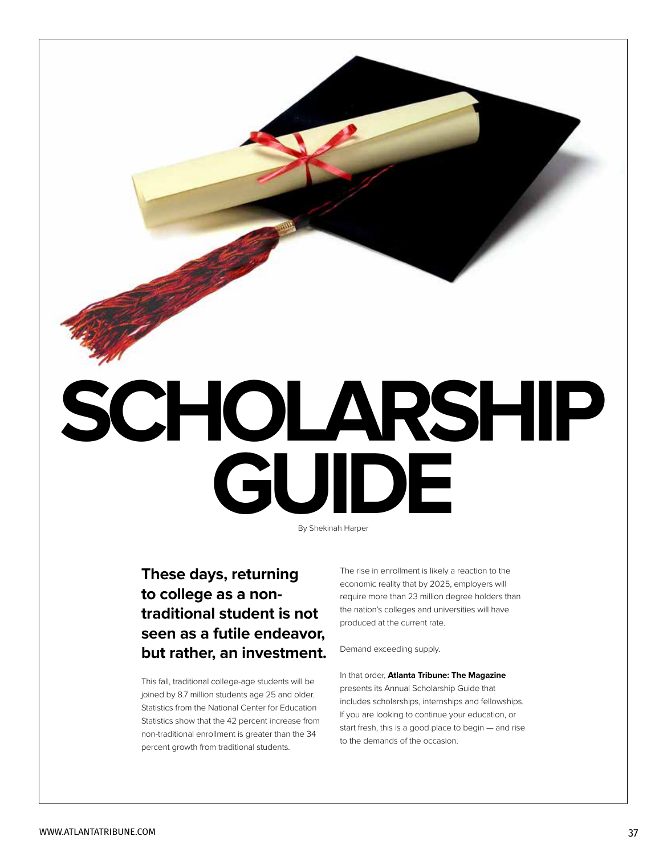

# **GUIDE** By Shekinah Harper

### **These days, returning to college as a nontraditional student is not seen as a futile endeavor, but rather, an investment.**

This fall, traditional college-age students will be joined by 8.7 million students age 25 and older. Statistics from the National Center for Education Statistics show that the 42 percent increase from non-traditional enrollment is greater than the 34 percent growth from traditional students.

The rise in enrollment is likely a reaction to the economic reality that by 2025, employers will require more than 23 million degree holders than the nation's colleges and universities will have produced at the current rate.

Demand exceeding supply.

In that order, **Atlanta Tribune: The Magazine**  presents its Annual Scholarship Guide that includes scholarships, internships and fellowships. If you are looking to continue your education, or start fresh, this is a good place to begin — and rise to the demands of the occasion.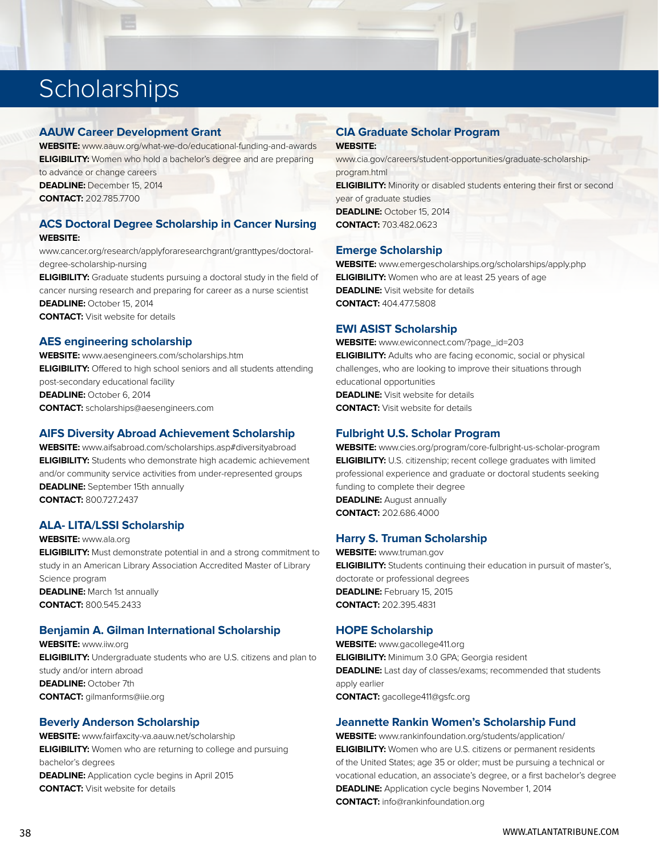## **Scholarships**

#### **AAUW Career Development Grant**

**WEBSITE:** www.aauw.org/what-we-do/educational-funding-and-awards **ELIGIBILITY:** Women who hold a bachelor's degree and are preparing to advance or change careers

**DEADLINE:** December 15, 2014 **CONTACT:** 202.785.7700

#### **ACS Doctoral Degree Scholarship in Cancer Nursing WEBSITE:**

www.cancer.org/research/applyforaresearchgrant/granttypes/doctoraldegree-scholarship-nursing

**ELIGIBILITY:** Graduate students pursuing a doctoral study in the field of cancer nursing research and preparing for career as a nurse scientist **DEADLINE:** October 15, 2014 **CONTACT:** Visit website for details

#### **AES engineering scholarship**

**WEBSITE:** www.aesengineers.com/scholarships.htm **ELIGIBILITY:** Offered to high school seniors and all students attending post-secondary educational facility **DEADLINE:** October 6, 2014 **CONTACT:** scholarships@aesengineers.com

#### **AIFS Diversity Abroad Achievement Scholarship**

**WEBSITE:** www.aifsabroad.com/scholarships.asp#diversityabroad **ELIGIBILITY:** Students who demonstrate high academic achievement and/or community service activities from under-represented groups **DEADLINE:** September 15th annually **CONTACT:** 800.727.2437

#### **ALA- LITA/LSSI Scholarship**

**WEBSITE:** www.ala.org **ELIGIBILITY:** Must demonstrate potential in and a strong commitment to study in an American Library Association Accredited Master of Library Science program **DEADLINE:** March 1st annually **CONTACT:** 800.545.2433

#### **Benjamin A. Gilman International Scholarship**

**WEBSITE:** www.iiw.org **ELIGIBILITY:** Undergraduate students who are U.S. citizens and plan to study and/or intern abroad **DEADLINE:** October 7th **CONTACT:** gilmanforms@iie.org

#### **Beverly Anderson Scholarship**

**WEBSITE:** www.fairfaxcity-va.aauw.net/scholarship **ELIGIBILITY:** Women who are returning to college and pursuing bachelor's degrees **DEADLINE:** Application cycle begins in April 2015 **CONTACT:** Visit website for details

#### **CIA Graduate Scholar Program WEBSITE:**

www.cia.gov/careers/student-opportunities/graduate-scholarshipprogram.html **ELIGIBILITY:** Minority or disabled students entering their first or second year of graduate studies

**DEADLINE:** October 15, 2014 **CONTACT:** 703.482.0623

#### **Emerge Scholarship**

**WEBSITE:** www.emergescholarships.org/scholarships/apply.php **ELIGIBILITY:** Women who are at least 25 years of age **DEADLINE:** Visit website for details **CONTACT:** 404.477.5808

#### **EWI ASIST Scholarship**

**WEBSITE:** www.ewiconnect.com/?page\_id=203 **ELIGIBILITY:** Adults who are facing economic, social or physical challenges, who are looking to improve their situations through educational opportunities **DEADLINE:** Visit website for details **CONTACT:** Visit website for details

#### **Fulbright U.S. Scholar Program**

**WEBSITE:** www.cies.org/program/core-fulbright-us-scholar-program **ELIGIBILITY:** U.S. citizenship; recent college graduates with limited professional experience and graduate or doctoral students seeking funding to complete their degree **DEADLINE:** August annually **CONTACT:** 202.686.4000

#### **Harry S. Truman Scholarship**

**WEBSITE:** www.truman.gov **ELIGIBILITY:** Students continuing their education in pursuit of master's, doctorate or professional degrees **DEADLINE:** February 15, 2015 **CONTACT:** 202.395.4831

#### **HOPE Scholarship**

**WEBSITE:** www.gacollege411.org **ELIGIBILITY:** Minimum 3.0 GPA; Georgia resident **DEADLINE:** Last day of classes/exams; recommended that students apply earlier **CONTACT:** gacollege411@gsfc.org

#### **Jeannette Rankin Women's Scholarship Fund**

**WEBSITE:** www.rankinfoundation.org/students/application/ **ELIGIBILITY:** Women who are U.S. citizens or permanent residents of the United States; age 35 or older; must be pursuing a technical or vocational education, an associate's degree, or a first bachelor's degree **DEADLINE:** Application cycle begins November 1, 2014 **CONTACT:** info@rankinfoundation.org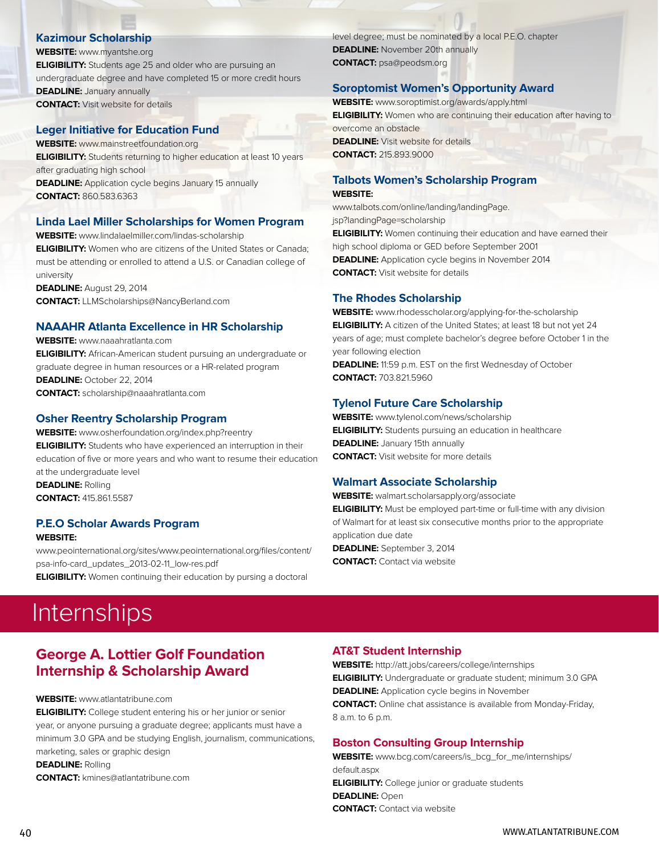#### **Kazimour Scholarship**

**WEBSITE:** www.myantshe.org **ELIGIBILITY:** Students age 25 and older who are pursuing an undergraduate degree and have completed 15 or more credit hours **DEADLINE:** January annually **CONTACT:** Visit website for details

#### **Leger Initiative for Education Fund**

**WEBSITE:** www.mainstreetfoundation.org **ELIGIBILITY:** Students returning to higher education at least 10 years after graduating high school **DEADLINE:** Application cycle begins January 15 annually **CONTACT:** 860.583.6363

#### **Linda Lael Miller Scholarships for Women Program**

**WEBSITE:** www.lindalaelmiller.com/lindas-scholarship **ELIGIBILITY:** Women who are citizens of the United States or Canada; must be attending or enrolled to attend a U.S. or Canadian college of university **DEADLINE:** August 29, 2014

**CONTACT:** LLMScholarships@NancyBerland.com

#### **NAAAHR Atlanta Excellence in HR Scholarship**

**WEBSITE:** www.naaahratlanta.com **ELIGIBILITY:** African-American student pursuing an undergraduate or graduate degree in human resources or a HR-related program **DEADLINE:** October 22, 2014 **CONTACT:** scholarship@naaahratlanta.com

#### **Osher Reentry Scholarship Program**

**WEBSITE:** www.osherfoundation.org/index.php?reentry **ELIGIBILITY:** Students who have experienced an interruption in their education of five or more years and who want to resume their education at the undergraduate level **DEADLINE:** Rolling **CONTACT:** 415.861.5587

#### **P.E.O Scholar Awards Program**

**WEBSITE:**

www.peointernational.org/sites/www.peointernational.org/files/content/ psa-info-card\_updates\_2013-02-11\_low-res.pdf **ELIGIBILITY:** Women continuing their education by pursing a doctoral

level degree; must be nominated by a local P.E.O. chapter **DEADLINE:** November 20th annually **CONTACT:** psa@peodsm.org

#### **Soroptomist Women's Opportunity Award**

**WEBSITE:** www.soroptimist.org/awards/apply.html **ELIGIBILITY:** Women who are continuing their education after having to overcome an obstacle **DEADLINE:** Visit website for details **CONTACT:** 215.893.9000

#### **Talbots Women's Scholarship Program WEBSITE:**

www.talbots.com/online/landing/landingPage. jsp?landingPage=scholarship

**ELIGIBILITY:** Women continuing their education and have earned their high school diploma or GED before September 2001 **DEADLINE:** Application cycle begins in November 2014 **CONTACT:** Visit website for details

#### **The Rhodes Scholarship**

**WEBSITE:** www.rhodesscholar.org/applying-for-the-scholarship **ELIGIBILITY:** A citizen of the United States; at least 18 but not yet 24 years of age; must complete bachelor's degree before October 1 in the year following election

**DEADLINE:** 11:59 p.m. EST on the first Wednesday of October **CONTACT:** 703.821.5960

#### **Tylenol Future Care Scholarship**

**WEBSITE:** www.tylenol.com/news/scholarship **ELIGIBILITY:** Students pursuing an education in healthcare **DEADLINE:** January 15th annually **CONTACT:** Visit website for more details

#### **Walmart Associate Scholarship**

**WEBSITE:** walmart.scholarsapply.org/associate **ELIGIBILITY:** Must be employed part-time or full-time with any division of Walmart for at least six consecutive months prior to the appropriate application due date **DEADLINE:** September 3, 2014 **CONTACT:** Contact via website

## **Internships**

#### **George A. Lottier Golf Foundation Internship & Scholarship Award**

#### **WEBSITE:** www.atlantatribune.com

**ELIGIBILITY:** College student entering his or her junior or senior year, or anyone pursuing a graduate degree; applicants must have a minimum 3.0 GPA and be studying English, journalism, communications, marketing, sales or graphic design **DEADLINE:** Rolling **CONTACT:** kmines@atlantatribune.com

#### **AT&T Student Internship**

**WEBSITE:** http://att.jobs/careers/college/internships **ELIGIBILITY:** Undergraduate or graduate student; minimum 3.0 GPA **DEADLINE:** Application cycle begins in November **CONTACT:** Online chat assistance is available from Monday-Friday, 8 a.m. to 6 p.m.

#### **Boston Consulting Group Internship**

**WEBSITE:** www.bcg.com/careers/is\_bcg\_for\_me/internships/ default.aspx **ELIGIBILITY:** College junior or graduate students **DEADLINE:** Open **CONTACT:** Contact via website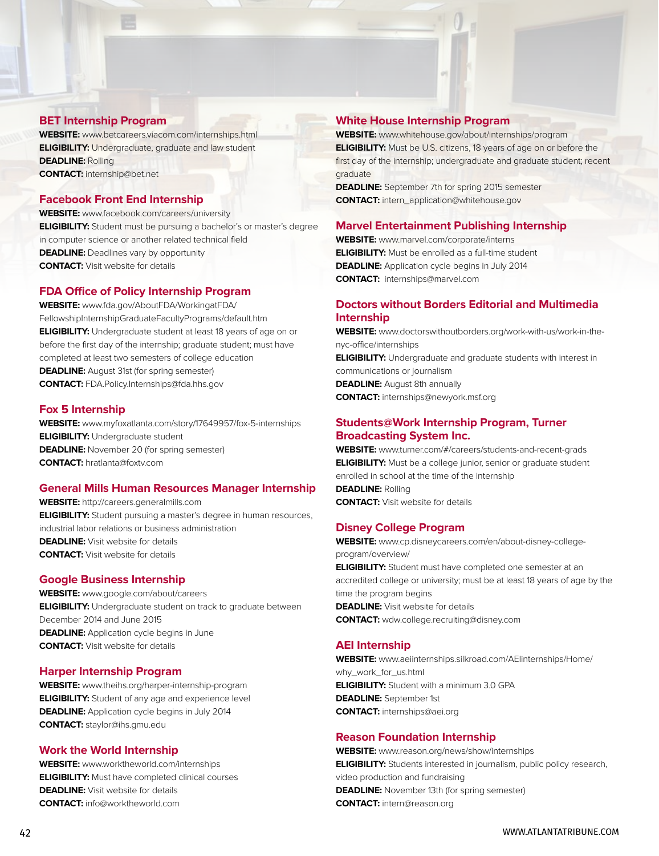#### **BET Internship Program**

**WEBSITE:** www.betcareers.viacom.com/internships.html **ELIGIBILITY:** Undergraduate, graduate and law student **DEADLINE:** Rolling **CONTACT:** internship@bet.net

#### **Facebook Front End Internship**

**WEBSITE:** www.facebook.com/careers/university **ELIGIBILITY:** Student must be pursuing a bachelor's or master's degree in computer science or another related technical field **DEADLINE:** Deadlines vary by opportunity **CONTACT:** Visit website for details

#### **FDA Office of Policy Internship Program**

**WEBSITE:** www.fda.gov/AboutFDA/WorkingatFDA/ FellowshipInternshipGraduateFacultyPrograms/default.htm **ELIGIBILITY:** Undergraduate student at least 18 years of age on or before the first day of the internship; graduate student; must have completed at least two semesters of college education **DEADLINE:** August 31st (for spring semester) **CONTACT:** FDA.Policy.Internships@fda.hhs.gov

#### **Fox 5 Internship**

**WEBSITE:** www.myfoxatlanta.com/story/17649957/fox-5-internships **ELIGIBILITY:** Undergraduate student **DEADLINE:** November 20 (for spring semester) **CONTACT:** hratlanta@foxtv.com

#### **General Mills Human Resources Manager Internship**

**WEBSITE:** http://careers.generalmills.com **ELIGIBILITY:** Student pursuing a master's degree in human resources, industrial labor relations or business administration **DEADLINE:** Visit website for details **CONTACT:** Visit website for details

#### **Google Business Internship**

**WEBSITE:** www.google.com/about/careers **ELIGIBILITY:** Undergraduate student on track to graduate between December 2014 and June 2015 **DEADLINE:** Application cycle begins in June **CONTACT:** Visit website for details

#### **Harper Internship Program**

**WEBSITE:** www.theihs.org/harper-internship-program **ELIGIBILITY:** Student of any age and experience level **DEADLINE:** Application cycle begins in July 2014 **CONTACT:** staylor@ihs.gmu.edu

#### **Work the World Internship**

**WEBSITE:** www.worktheworld.com/internships **ELIGIBILITY:** Must have completed clinical courses **DEADLINE:** Visit website for details **CONTACT:** info@worktheworld.com

#### **White House Internship Program**

**WEBSITE:** www.whitehouse.gov/about/internships/program **ELIGIBILITY:** Must be U.S. citizens, 18 years of age on or before the first day of the internship; undergraduate and graduate student; recent graduate

**DEADLINE:** September 7th for spring 2015 semester **CONTACT:** intern\_application@whitehouse.gov

#### **Marvel Entertainment Publishing Internship**

**WEBSITE:** www.marvel.com/corporate/interns **ELIGIBILITY:** Must be enrolled as a full-time student **DEADLINE:** Application cycle begins in July 2014 **CONTACT:** internships@marvel.com

#### **Doctors without Borders Editorial and Multimedia Internship**

**WEBSITE:** www.doctorswithoutborders.org/work-with-us/work-in-thenyc-office/internships **ELIGIBILITY:** Undergraduate and graduate students with interest in communications or journalism **DEADLINE:** August 8th annually **CONTACT:** internships@newyork.msf.org

#### **Students@Work Internship Program, Turner Broadcasting System Inc.**

**WEBSITE:** www.turner.com/#/careers/students-and-recent-grads **ELIGIBILITY:** Must be a college junior, senior or graduate student enrolled in school at the time of the internship **DEADLINE:** Rolling **CONTACT:** Visit website for details

#### **Disney College Program**

**WEBSITE:** www.cp.disneycareers.com/en/about-disney-collegeprogram/overview/

**ELIGIBILITY:** Student must have completed one semester at an accredited college or university; must be at least 18 years of age by the time the program begins **DEADLINE:** Visit website for details

**CONTACT:** wdw.college.recruiting@disney.com

#### **AEI Internship**

**WEBSITE:** www.aeiinternships.silkroad.com/AEIinternships/Home/ why\_work\_for\_us.html **ELIGIBILITY:** Student with a minimum 3.0 GPA **DEADLINE:** September 1st **CONTACT:** internships@aei.org

#### **Reason Foundation Internship**

**WEBSITE:** www.reason.org/news/show/internships **ELIGIBILITY:** Students interested in journalism, public policy research, video production and fundraising **DEADLINE:** November 13th (for spring semester) **CONTACT:** intern@reason.org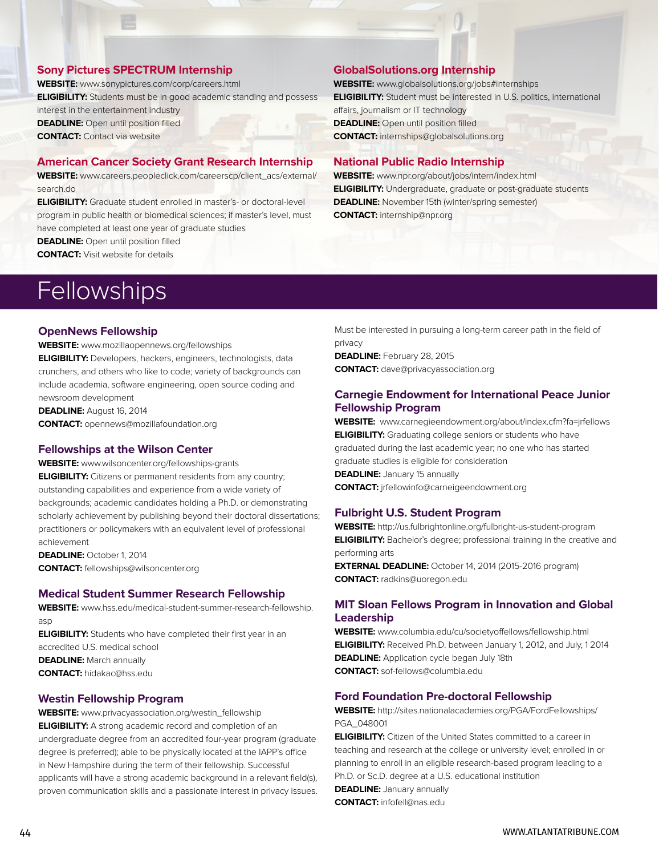#### **Sony Pictures SPECTRUM Internship**

**WEBSITE:** www.sonypictures.com/corp/careers.html **ELIGIBILITY:** Students must be in good academic standing and possess interest in the entertainment industry **DEADLINE:** Open until position filled **CONTACT:** Contact via website

#### **American Cancer Society Grant Research Internship**

**WEBSITE:** www.careers.peopleclick.com/careerscp/client\_acs/external/ search.do

**ELIGIBILITY:** Graduate student enrolled in master's- or doctoral-level program in public health or biomedical sciences; if master's level, must have completed at least one year of graduate studies

**DEADLINE:** Open until position filled

**CONTACT:** Visit website for details

#### **GlobalSolutions.org Internship**

**WEBSITE:** www.globalsolutions.org/jobs#internships **ELIGIBILITY:** Student must be interested in U.S. politics, international affairs, journalism or IT technology **DEADLINE:** Open until position filled **CONTACT:** internships@globalsolutions.org

#### **National Public Radio Internship**

**WEBSITE:** www.npr.org/about/jobs/intern/index.html **ELIGIBILITY:** Undergraduate, graduate or post-graduate students **DEADLINE:** November 15th (winter/spring semester) **CONTACT:** internship@npr.org

## **Fellowships**

#### **OpenNews Fellowship**

**WEBSITE:** www.mozillaopennews.org/fellowships **ELIGIBILITY:** Developers, hackers, engineers, technologists, data crunchers, and others who like to code; variety of backgrounds can include academia, software engineering, open source coding and newsroom development

**DEADLINE:** August 16, 2014 **CONTACT:** opennews@mozillafoundation.org

#### **Fellowships at the Wilson Center**

**WEBSITE:** www.wilsoncenter.org/fellowships-grants **ELIGIBILITY:** Citizens or permanent residents from any country; outstanding capabilities and experience from a wide variety of backgrounds; academic candidates holding a Ph.D. or demonstrating scholarly achievement by publishing beyond their doctoral dissertations; practitioners or policymakers with an equivalent level of professional achievement

**DEADLINE:** October 1, 2014 **CONTACT:** fellowships@wilsoncenter.org

#### **Medical Student Summer Research Fellowship**

**WEBSITE:** www.hss.edu/medical-student-summer-research-fellowship. asp

**ELIGIBILITY:** Students who have completed their first year in an accredited U.S. medical school **DEADLINE:** March annually **CONTACT:** hidakac@hss.edu

#### **Westin Fellowship Program**

**WEBSITE:** www.privacyassociation.org/westin\_fellowship **ELIGIBILITY:** A strong academic record and completion of an undergraduate degree from an accredited four-year program (graduate degree is preferred); able to be physically located at the IAPP's office in New Hampshire during the term of their fellowship. Successful applicants will have a strong academic background in a relevant field(s), proven communication skills and a passionate interest in privacy issues. Must be interested in pursuing a long-term career path in the field of privacy

**DEADLINE:** February 28, 2015 **CONTACT:** dave@privacyassociation.org

#### **Carnegie Endowment for International Peace Junior Fellowship Program**

**WEBSITE:** www.carnegieendowment.org/about/index.cfm?fa=jrfellows **ELIGIBILITY:** Graduating college seniors or students who have graduated during the last academic year; no one who has started graduate studies is eligible for consideration **DEADLINE:** January 15 annually **CONTACT:** jrfellowinfo@carneigeendowment.org

#### **Fulbright U.S. Student Program**

**WEBSITE:** http://us.fulbrightonline.org/fulbright-us-student-program **ELIGIBILITY:** Bachelor's degree; professional training in the creative and performing arts

**EXTERNAL DEADLINE:** October 14, 2014 (2015-2016 program) **CONTACT:** radkins@uoregon.edu

#### **MIT Sloan Fellows Program in Innovation and Global Leadership**

**WEBSITE:** www.columbia.edu/cu/societyoffellows/fellowship.html **ELIGIBILITY:** Received Ph.D. between January 1, 2012, and July, 1 2014 **DEADLINE:** Application cycle began July 18th **CONTACT:** sof-fellows@columbia.edu

#### **Ford Foundation Pre-doctoral Fellowship**

**WEBSITE:** http://sites.nationalacademies.org/PGA/FordFellowships/ PGA\_048001

**ELIGIBILITY:** Citizen of the United States committed to a career in teaching and research at the college or university level; enrolled in or planning to enroll in an eligible research-based program leading to a Ph.D. or Sc.D. degree at a U.S. educational institution

**DEADLINE:** January annually **CONTACT:** infofell@nas.edu